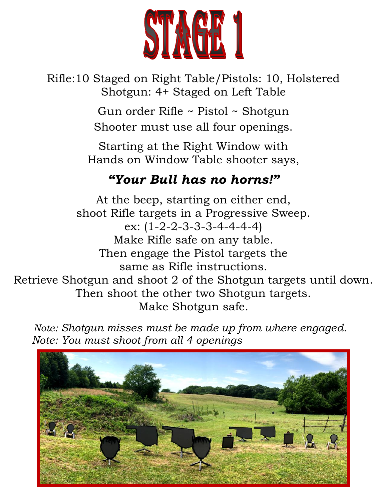

Rifle:10 Staged on Right Table/Pistols: 10, Holstered Shotgun: 4+ Staged on Left Table

> Gun order Rifle ~ Pistol ~ Shotgun Shooter must use all four openings.

Starting at the Right Window with Hands on Window Table shooter says,

### *"Your Bull has no horns!"*

At the beep, starting on either end, shoot Rifle targets in a Progressive Sweep. ex: (1-2-2-3-3-3-4-4-4-4) Make Rifle safe on any table. Then engage the Pistol targets the same as Rifle instructions. Retrieve Shotgun and shoot 2 of the Shotgun targets until down. Then shoot the other two Shotgun targets. Make Shotgun safe.

 *Note: Shotgun misses must be made up from where engaged. Note: You must shoot from all 4 openings* 

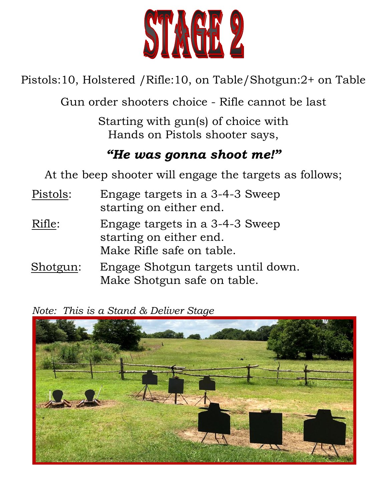

Pistols:10, Holstered /Rifle:10, on Table/Shotgun:2+ on Table

Gun order shooters choice - Rifle cannot be last

Starting with gun(s) of choice with Hands on Pistols shooter says,

#### *"He was gonna shoot me!"*

At the beep shooter will engage the targets as follows;

- Pistols: Engage targets in a 3-4-3 Sweep starting on either end.
- Rifle: Engage targets in a 3-4-3 Sweep starting on either end. Make Rifle safe on table.
- Shotgun: Engage Shotgun targets until down. Make Shotgun safe on table.

*Note: This is a Stand & Deliver Stage*

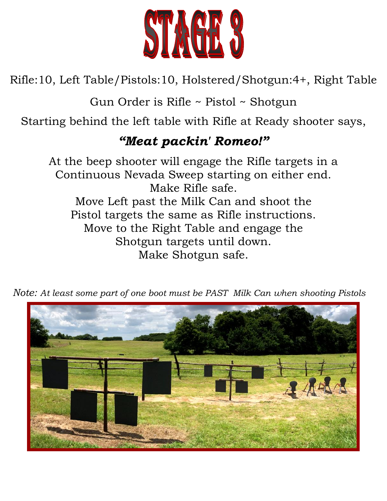

Rifle:10, Left Table/Pistols:10, Holstered/Shotgun:4+, Right Table

Gun Order is Rifle ~ Pistol ~ Shotgun

Starting behind the left table with Rifle at Ready shooter says,

## *"Meat packin' Romeo!"*

At the beep shooter will engage the Rifle targets in a Continuous Nevada Sweep starting on either end. Make Rifle safe. Move Left past the Milk Can and shoot the Pistol targets the same as Rifle instructions. Move to the Right Table and engage the Shotgun targets until down. Make Shotgun safe.



*Note: At least some part of one boot must be PAST Milk Can when shooting Pistols*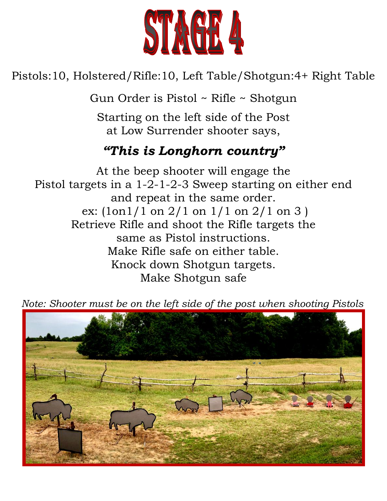

### Pistols:10, Holstered/Rifle:10, Left Table/Shotgun:4+ Right Table

Gun Order is Pistol ~ Rifle ~ Shotgun

Starting on the left side of the Post at Low Surrender shooter says,

## *"This is Longhorn country"*

At the beep shooter will engage the Pistol targets in a 1-2-1-2-3 Sweep starting on either end and repeat in the same order. ex:  $(\text{lon}1/1 \text{ on } 2/1 \text{ on } 1/1 \text{ on } 2/1 \text{ on } 3)$ Retrieve Rifle and shoot the Rifle targets the same as Pistol instructions. Make Rifle safe on either table. Knock down Shotgun targets. Make Shotgun safe

 *Note: Shooter must be on the left side of the post when shooting Pistols*

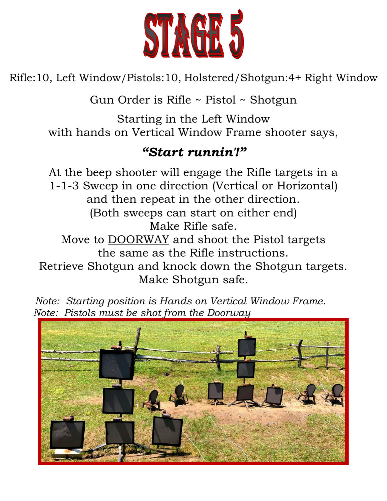

Rifle:10, Left Window/Pistols:10, Holstered/Shotgun:4+ Right Window

Gun Order is Rifle ~ Pistol ~ Shotgun

Starting in the Left Window with hands on Vertical Window Frame shooter says,

#### *"Start runnin'!"*

At the beep shooter will engage the Rifle targets in a 1-1-3 Sweep in one direction (Vertical or Horizontal) and then repeat in the other direction. (Both sweeps can start on either end) Make Rifle safe. Move to DOORWAY and shoot the Pistol targets the same as the Rifle instructions.

Retrieve Shotgun and knock down the Shotgun targets. Make Shotgun safe.

*Note: Starting position is Hands on Vertical Window Frame. Note: Pistols must be shot from the Doorway*